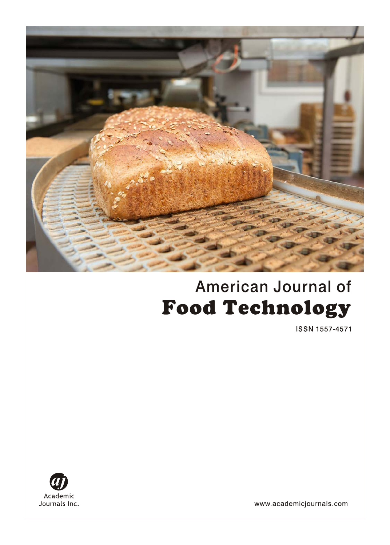

# **American Journal of Food Technology**

**ISSN 1557-4571** 



www.academicjournals.com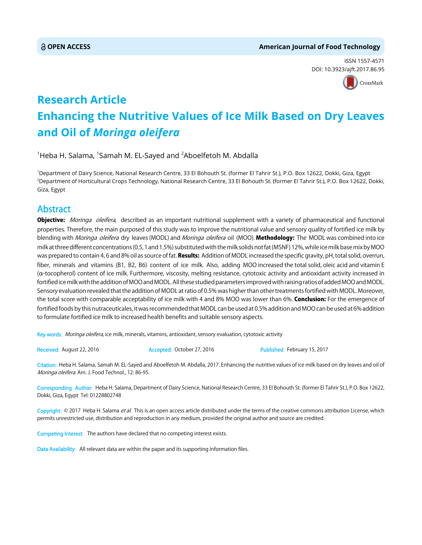# **OPEN ACCESS American Journal of Food Technology**

ISSN 1557-4571 DOI: 10.3923/ajft.2017.86.95



# **Research Article Enhancing the Nutritive Values of Ice Milk Based on Dry Leaves and Oil of** *Moringa oleifera*

 $^1$ Heba H. Salama,  $^1$ Samah M. EL-Sayed and  $^2$ Aboelfetoh M. Abdalla

1 Department of Dairy Science, National Research Centre, 33 El Bohouth St. (former El Tahrir St.), P.O. Box 12622, Dokki, Giza, Egypt 2 Department of Horticultural Crops Technology, National Research Centre, 33 El Bohouth St. (former El Tahrir St.), P.O. Box 12622, Dokki, Giza, Egypt

# Abstract

Objective: Moringa oleifera, described as an important nutritional supplement with a variety of pharmaceutical and functional properties. Therefore, the main purposed of this study was to improve the nutritional value and sensory quality of fortified ice milk by blending with Moringa oleifera dry leaves (MODL) and Moringa oleifera oil (MOO). Methodology: The MODL was combined into ice milk at three different concentrations (0.5, 1 and 1.5%) substituted with the milk solids not fat (MSNF) 12%, while ice milk base mix by MOO was prepared to contain 4, 6 and 8% oil as source of fat. Results: Addition of MODL increased the specific gravity, pH, total solid, overrun, fiber, minerals and vitamins (B1, B2, B6) content of ice milk. Also, adding MOO increased the total solid, oleic acid and vitamin E  $(\alpha$ -tocopherol) content of ice milk. Furthermore, viscosity, melting resistance, cytotoxic activity and antioxidant activity increased in fortified ice milk with the addition of MOO and MODL. All these studied parameters improved with raising ratios of added MOO and MODL. Sensory evaluation revealed that the addition of MODL at ratio of 0.5% was higher than other treatments fortified with MODL. Moreover, the total score with comparable acceptability of ice milk with 4 and 8% MOO was lower than 6%. Conclusion: For the emergence of fortified foods by this nutraceuticales, it was recommended that MODL can be used at 0.5% addition and MOO can be used at 6% addition to formulate fortified ice milk to increased health benefits and suitable sensory aspects.

Key words: Moringa oleifera, ice milk, minerals, vitamins, antioxidant, sensory evaluation, cytotoxic activity

Received: August 22, 2016 **Accepted: October 27, 2016** Published: February 15, 2017

Citation: Heba H. Salama, Samah M. EL-Sayed and Aboelfetoh M. Abdalla, 2017. Enhancing the nutritive values of ice milk based on dry leaves and oil of Moringa oleifera. Am. J. Food Technol., 12: 86-95.

Corresponding Author: Heba H. Salama, Department of Dairy Science, National Research Centre, 33 El Bohouth St. (former El Tahrir St.), P.O. Box 12622, Dokki, Giza, Egypt Tel: 01228802748

Copyright: © 2017 Heba H. Salama et al. This is an open access article distributed under the terms of the creative commons attribution License, which permits unrestricted use, distribution and reproduction in any medium, provided the original author and source are credited.

Competing Interest: The authors have declared that no competing interest exists.

Data Availability: All relevant data are within the paper and its supporting information files.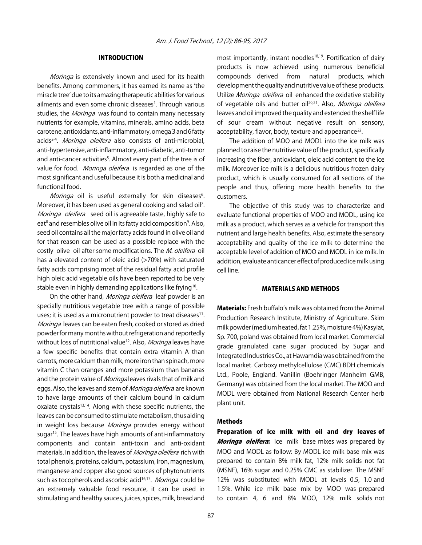# INTRODUCTION

Moringa is extensively known and used for its health benefits. Among commoners, it has earned its name as ʻthe miracle tree' due to its amazing therapeutic abilities for various ailments and even some chronic diseases<sup>1</sup>. Through various studies, the Moringa was found to contain many necessary nutrients for example, vitamins, minerals, amino acids, beta carotene, antioxidants, anti-inflammatory, omega 3 and 6 fatty acids<sup>2-4</sup>. Moringa oleifera also consists of anti-microbial, anti-hypertensive, anti-inflammatory, anti-diabetic, anti-tumor and anti-cancer activities<sup>5</sup>. Almost every part of the tree is of value for food. Moringa oleifera is regarded as one of the most significant and useful because it is both a medicinal and functional food.

Moringa oil is useful externally for skin diseases<sup>6</sup>. Moreover, it has been used as general cooking and salad oil<sup>7</sup>. Moringa oleifera seed oil is agreeable taste, highly safe to eat<sup>8</sup> and resembles olive oil in its fatty acid composition<sup>9</sup>. Also, seed oil contains all the major fatty acids found in olive oil and for that reason can be used as a possible replace with the costly olive oil after some modifications. The *M. oleifera* oil has a elevated content of oleic acid (>70%) with saturated fatty acids comprising most of the residual fatty acid profile high oleic acid vegetable oils have been reported to be very stable even in highly demanding applications like frying<sup>10</sup>.

On the other hand, Moringa oleifera leaf powder is an specially nutritious vegetable tree with a range of possible uses; it is used as a micronutrient powder to treat diseases $11$ . Moringa leaves can be eaten fresh, cooked or stored as dried powder for many months without refrigeration and reportedly without loss of nutritional value<sup>12</sup>. Also, *Moringa* leaves have a few specific benefits that contain extra vitamin A than carrots, more calcium than milk, more iron than spinach, more vitamin C than oranges and more potassium than bananas and the protein value of *Moringa* leaves rivals that of milk and eggs. Also, the leaves and stem of *Moringa oleifera* are known to have large amounts of their calcium bound in calcium oxalate crystals<sup>13,14</sup>. Along with these specific nutrients, the leaves can be consumed to stimulate metabolism, thus aiding in weight loss because Moringa provides energy without sugar<sup>15</sup>. The leaves have high amounts of anti-inflammatory components and contain anti-toxin and anti-oxidant materials. In addition, the leaves of *Moringa oleifera* rich with total phenols, proteins, calcium, potassium, iron, magnesium, manganese and copper also good sources of phytonutrients such as tocopherols and ascorbic acid<sup>16,17</sup>. Moringa could be an extremely valuable food resource, it can be used in stimulating and healthy sauces, juices, spices, milk, bread and

most importantly, instant noodles<sup>18,19</sup>. Fortification of dairy products is now achieved using numerous beneficial compounds derived from natural products, which development the quality and nutritive value of these products. Utilize Moringa oleifera oil enhanced the oxidative stability of vegetable oils and butter oil<sup>20,21</sup>. Also, *Moringa oleifera* leaves and oil improved the quality and extended the shelf life of sour cream without negative result on sensory, acceptability, flavor, body, texture and appearance<sup>22</sup>.

The addition of MOO and MODL into the ice milk was planned to raise the nutritive value of the product, specifically increasing the fiber, antioxidant, oleic acid content to the ice milk. Moreover ice milk is a delicious nutritious frozen dairy product, which is usually consumed for all sections of the people and thus, offering more health benefits to the customers.

The objective of this study was to characterize and evaluate functional properties of MOO and MODL, using ice milk as a product, which serves as a vehicle for transport this nutrient and large health benefits. Also, estimate the sensory acceptability and quality of the ice milk to determine the acceptable level of addition of MOO and MODL in ice milk. In addition, evaluate anticancer effect of produced ice milk using cell line.

#### MATERIALS AND METHODS

Materials: Fresh buffalo's milk was obtained from the Animal Production Research Institute, Ministry of Agriculture. Skim milk powder (medium heated, fat 1.25%, moisture 4%) Kasyiat, Sp. 700, poland was obtained from local market. Commercial grade granulated cane sugar produced by Sugar and Integrated Industries Co., at Hawamdia was obtained from the local market. Carboxy methylcellulose (CMC) BDH chemicals Ltd., Poole, England. Vanillin (Boehringer Manheim GMB, Germany) was obtained from the local market. The MOO and MODL were obtained from National Research Center herb plant unit.

# Methods

Preparation of ice milk with oil and dry leaves of **Moringa oleifera:** Ice milk base mixes was prepared by MOO and MODL as follow: By MODL ice milk base mix was prepared to contain 8% milk fat, 12% milk solids not fat (MSNF), 16% sugar and 0.25% CMC as stabilizer. The MSNF 12% was substituted with MODL at levels 0.5, 1.0 and 1.5%. While ice milk base mix by MOO was prepared to contain 4, 6 and 8% MOO, 12% milk solids not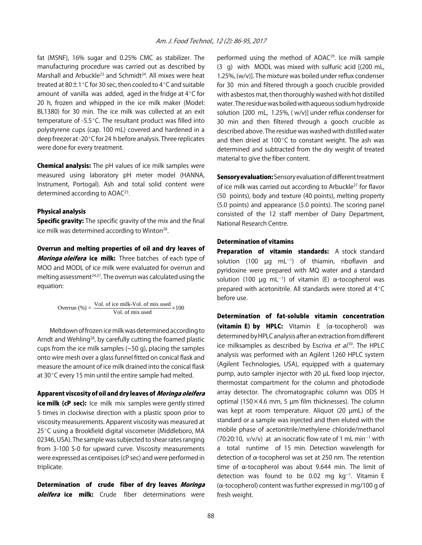fat (MSNF), 16% sugar and 0.25% CMC as stabilizer. The manufacturing procedure was carried out as described by Marshall and Arbuckle<sup>23</sup> and Schmidt<sup>24</sup>. All mixes were heat treated at 80 $\pm$ 1°C for 30 sec, then cooled to 4°C and suitable amount of vanilla was added, aged in the fridge at  $4^{\circ}$ C for 20 h, frozen and whipped in the ice milk maker (Model: BL1380) for 30 min. The ice milk was collected at an exit temperature of -5.5 $^{\circ}$ C. The resultant product was filled into polystyrene cups (cap. 100 mL) covered and hardened in a deep freezer at -20°C for 24 h before analysis. Three replicates were done for every treatment.

Chemical analysis: The pH values of ice milk samples were measured using laboratory pH meter model (HANNA, Instrument, Portogal). Ash and total solid content were determined according to AOAC<sup>25</sup>.

#### Physical analysis

**Specific gravity:** The specific gravity of the mix and the final ice milk was determined according to Winton<sup>26</sup>.

Overrun and melting properties of oil and dry leaves of Moringa oleifera ice milk: Three batches of each type of MOO and MODL of ice milk were evaluated for overrun and melting assessment $24,27$ . The overrun was calculated using the equation:

$$
Vol. of ice milk-Vol. of mix used \times 100
$$
  
Vol. of mix used

Meltdown of frozen ice milk was determined according to Arndt and Wehling<sup>28</sup>, by carefully cutting the foamed plastic cups from the ice milk samples (~50 g), placing the samples onto wire mesh over a glass funnel fitted on conical flask and measure the amount of ice milk drained into the conical flask at  $30^{\circ}$ C every 15 min until the entire sample had melted.

# Apparent viscosity of oil and dry leaves of Moringa oleifera

ice milk (cP sec): Ice milk mix samples were gently stirred 5 times in clockwise direction with a plastic spoon prior to viscosity measurements. Apparent viscosity was measured at 25°C using a Brookfield digital viscometer (Middleboro, MA 02346, USA). The sample was subjected to shear rates ranging from 3-100 S-0 for upward curve. Viscosity measurements were expressed as centipoises (cP sec) and were performed in triplicate.

Determination of crude fiber of dry leaves Moringa oleifera ice milk: Crude fiber determinations were

performed using the method of AOAC29. Ice milk sample (3 g) with MODL was mixed with sulfuric acid [(200 mL, 1.25%, (w/v)]. The mixture was boiled under reflux condenser for 30 min and filtered through a gooch crucible provided with asbestos mat, then thoroughly washed with hot distilled water. The residue was boiled with aqueous sodium hydroxide solution [200 mL, 1.25%, ( w/v)] under reflux condenser for 30 min and then filtered through a gooch crucible as described above. The residue was washed with distilled water and then dried at 100 $^{\circ}$ C to constant weight. The ash was determined and subtracted from the dry weight of treated material to give the fiber content.

Sensory evaluation: Sensory evaluation of different treatment of ice milk was carried out according to Arbuckle<sup>27</sup> for flavor (50 points), body and texture (40 points), melting property (5.0 points) and appearance (5.0 points). The scoring panel consisted of the 12 staff member of Dairy Department, National Research Centre.

## Determination of vitamins

Preparation of vitamin standards: A stock standard solution (100  $\mu$ g mL<sup>-1</sup>) of thiamin, riboflavin and pyridoxine were prepared with MQ water and a standard solution (100  $\mu$ g mL<sup>-1</sup>) of vitamin (E)  $\alpha$ -tocopherol was prepared with acetonitrile. All standards were stored at  $4^{\circ}$ C before use.

Determination of fat-soluble vitamin concentration (vitamin E) by HPLC: Vitamin E  $(\alpha$ -tocopherol) was determined by HPLC analysis after an extraction from different ice milksamples as described by Escriva *et al.*<sup>30</sup>. The HPLC analysis was performed with an Agilent 1260 HPLC system (Agilent Technologies, USA), equipped with a quaternary pump, auto sampler injector with 20 µL fixed loop injector, thermostat compartment for the column and photodiode array detector. The chromatographic column was ODS H optimal (150 $\times$ 4.6 mm, 5 µm film thicknesses). The column was kept at room temperature. Aliquot (20 µmL) of the standard or a sample was injected and then eluted with the mobile phase of acetonitrile/methylene chloride/methanol  $(70:20:10, v/v/v)$  at an isocratic flow rate of 1 mL min<sup>-1</sup> with a total runtime of 15 min. Detection wavelength for detection of  $\alpha$ -tocopherol was set at 250 nm. The retention time of  $\alpha$ -tocopherol was about 9.644 min. The limit of detection was found to be 0.02 mg  $kg^{-1}$ . Vitamin E ( $\alpha$ -tocopherol) content was further expressed in mg/100 g of fresh weight.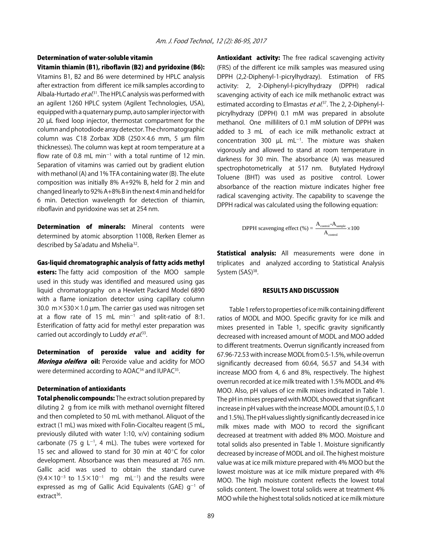# Determination of water-soluble vitamin

Vitamin thiamin (B1), riboflavin (B2) and pyridoxine (B6): Vitamins B1, B2 and B6 were determined by HPLC analysis after extraction from different ice milk samples according to Albala-Hurtado *et al*.<sup>31</sup>. The HPLC analysis was performed with an agilent 1260 HPLC system (Agilent Technologies, USA), equipped with a quaternary pump, auto sampler injector with 20 µL fixed loop injector, thermostat compartment for the column and photodiode array detector. The chromatographic column was C18 Zorbax XDB (250×4.6 mm, 5 µm film thicknesses). The column was kept at room temperature at a flow rate of 0.8 mL min<sup>-1</sup> with a total runtime of 12 min. Separation of vitamins was carried out by gradient elution with methanol (A) and 1% TFA containing water (B). The elute composition was initially 8% A+92% B, held for 2 min and changed linearly to 92% A+8% B in the next 4 min and held for 6 min. Detection wavelength for detection of thiamin, riboflavin and pyridoxine was set at 254 nm.

Determination of minerals: Mineral contents were determined by atomic absorption 1100B, Rerken Elemer as described by Sa'adatu and Mshelia32.

Gas-liquid chromatographic analysis of fatty acids methyl

esters: The fatty acid composition of the MOO sample used in this study was identified and measured using gas liquid chromatography on a Hewlett Packard Model 6890 with a flame ionization detector using capillary column 30.0  $m \times 530 \times 1.0$  µm. The carrier gas used was nitrogen set at a flow rate of 15 mL min<sup>-1</sup> and split-ratio of 8:1. Esterification of fatty acid for methyl ester preparation was carried out accordingly to Luddy et al.<sup>33</sup>.

Determination of peroxide value and acidity for Moringa oleifera oil: Peroxide value and acidity for MOO were determined according to AOAC<sup>34</sup> and IUPAC<sup>35</sup>.

#### Determination of antioxidants

Total phenolic compounds: The extract solution prepared by diluting 2 g from ice milk with methanol overnight filtered and then completed to 50 mL with methanol. Aliquot of the extract (1 mL) was mixed with Folin-Ciocalteu reagent (5 mL, previously diluted with water 1:10, v/v) containing sodium carbonate (75 g  $L^{-1}$ , 4 mL). The tubes were vortexed for 15 sec and allowed to stand for 30 min at  $40^{\circ}$ C for color development. Absorbance was then measured at 765 nm. Gallic acid was used to obtain the standard curve  $(9.4 \times 10^{-3}$  to  $1.5 \times 10^{-1}$  mg mL<sup>-1</sup>) and the results were expressed as mg of Gallic Acid Equivalents (GAE)  $g^{-1}$  of extract $36$ .

**Antioxidant activity:** The free radical scavenging activity (FRS) of the different ice milk samples was measured using DPPH (2,2-Diphenyl-1-picrylhydrazy). Estimation of FRS activity: 2, 2-Diphenyl-l-picrylhydrazy (DPPH) radical scavenging activity of each ice milk methanolic extract was estimated according to Elmastas *et al*.<sup>37</sup>. The 2, 2-Diphenyl-lpicrylhydrazy (DPPH) 0.1 mM was prepared in absolute methanol. One milliliters of 0.1 mM solution of DPPH was added to 3 mL of each ice milk methanolic extract at concentration 300  $\mu$ L mL<sup>-1</sup>. The mixture was shaken vigorously and allowed to stand at room temperature in darkness for 30 min. The absorbance (A) was measured spectrophotometrically at 517 nm. Butylated Hydroxyl Toluene (BHT) was used as positive control. Lower absorbance of the reaction mixture indicates higher free radical scavenging activity. The capability to scavenge the DPPH radical was calculated using the following equation:

$$
DPPH\text{ scavenging effect } (\%) = \frac{A_{\text{control}} - A_{\text{sample}}}{A_{\text{control}}} \times 100
$$

Statistical analysis: All measurements were done in triplicates and analyzed according to Statistical Analysis System (SAS)<sup>38</sup>.

#### RESULTS AND DISCUSSION

Table 1 refers to properties of ice milk containing different ratios of MODL and MOO. Specific gravity for ice milk and mixes presented in Table 1, specific gravity significantly decreased with increased amount of MODL and MOO added to different treatments. Overrun significantly increased from 67.96-72.53 with increase MODL from 0.5-1.5%, while overrun significantly decreased from 60.64, 56.57 and 54.34 with increase MOO from 4, 6 and 8%, respectively. The highest overrun recorded at ice milk treated with 1.5% MODL and 4% MOO. Also, pH values of ice milk mixes indicated in Table 1. The pH in mixes prepared with MODL showed that significant increase in pH values with the increase MODL amount (0.5, 1.0 and 1.5%). The pH values slightly significantly decreased in ice milk mixes made with MOO to record the significant decreased at treatment with added 8% MOO. Moisture and total solids also presented in Table 1. Moisture significantly decreased by increase of MODL and oil. The highest moisture value was at ice milk mixture prepared with 4% MOO but the lowest moisture was at ice milk mixture prepared with 4% MOO. The high moisture content reflects the lowest total solids content. The lowest total solids were at treatment 4% MOO while the highest total solids noticed at ice milk mixture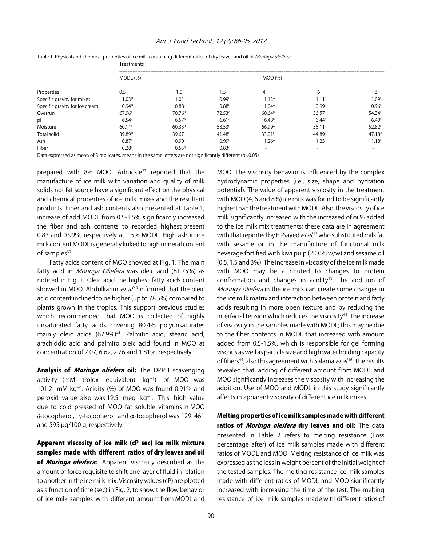#### Am. J. Food Technol., 12 (2): 86-95, 2017

| Properties                     | Treatments          |                    |                    |                          |                    |                      |  |  |
|--------------------------------|---------------------|--------------------|--------------------|--------------------------|--------------------|----------------------|--|--|
|                                | <b>MODL</b> (%)     |                    |                    | MOO (%)                  |                    |                      |  |  |
|                                | 0.5                 | 1.0                | ۱.5                |                          |                    | 8                    |  |  |
| Specific gravity for mixes     | .03 <sup>D</sup>    | .01 <sup>E</sup>   | 0.99 <sup>6</sup>  | .13 <sup>A</sup>         | - 1<br>1 B         | 09 <sup>c</sup>      |  |  |
| Specific gravity for ice cream | $0.94^{D}$          | $0.88^{E}$         | 0.88 <sup>F</sup>  | 1.04 <sup>A</sup>        | $0.99^{B}$         | 0.96 <sup>c</sup>    |  |  |
| Overrun                        | $67.96^{\circ}$     | 70.76 <sup>B</sup> | 72.53 <sup>A</sup> | $60.64^{D}$              | $56.57^E$          | $54.34$ <sup>F</sup> |  |  |
| pH                             | $6.54^{c}$          | $6.57^{B}$         | 6.61 <sup>A</sup>  | $6.48^{D}$               | 6.44 <sup>E</sup>  | 6.40 <sup>F</sup>    |  |  |
| Moisture                       | $60.11^{\circ}$     | $60.33^{B}$        | 58.53 <sup>D</sup> | 66.99 <sup>A</sup>       | $55.11^{E}$        | 52.82F               |  |  |
| <b>Total solid</b>             | 39.89 <sup>D</sup>  | $39.67^{E}$        | 41.48 $C$          | 33.01 <sup>F</sup>       | 44.89 <sup>B</sup> | 47.18 <sup>A</sup>   |  |  |
| Ash                            | $0.87$ <sup>F</sup> | 0.90 <sup>E</sup>  | $0.99^{D}$         | 1.26 <sup>A</sup>        | 1.23 <sup>B</sup>  | 1.18 <sup>c</sup>    |  |  |
| Fiber                          | $0.28^{\circ}$      | $0.55^{B}$         | 0.83 <sup>A</sup>  | $\overline{\phantom{0}}$ | -                  |                      |  |  |

Table 1: Physical and chemical properties of ice milk containing different ratios of dry leaves and oil of Moringa oleifera

Data expressed as mean of 3 replicates, means in the same letters are not significantly different ( $p \le 0.05$ )

prepared with 8% MOO. Arbuckle<sup>27</sup> reported that the manufacture of ice milk with variation and quality of milk solids not fat source have a significant effect on the physical and chemical properties of ice milk mixes and the resultant products. Fiber and ash contents also presented at Table 1, increase of add MODL from 0.5-1.5% significantly increased the fiber and ash contents to recorded highest present 0.83 and 0.99%, respectively at 1.5% MODL. High ash in ice milk content MODL is generally linked to high mineral content of samples<sup>39</sup>.

Fatty acids content of MOO showed at Fig. 1. The main fatty acid in Moringa Oliefera was oleic acid (81.75%) as noticed in Fig. 1. Oleic acid the highest fatty acids content showed in MOO. Abdulkarim *et al*.<sup>40</sup> informed that the oleic acid content inclined to be higher (up to 78.5%) compared to plants grown in the tropics. This support previous studies which recommended that MOO is collected of highly unsaturated fatty acids covering 80.4% polyunsaturates mainly oleic acids (67.9%)<sup>41</sup>. Palmitic acid, stearic acid, arachiddic acid and palmito oleic acid found in MOO at concentration of 7.07, 6.62, 2.76 and 1.81%, respectively.

Analysis of *Moringa oliefera* oil: The DPPH scavenging activity (mM trolox equivalent  $kg^{-1}$ ) of MOO was 101.2 mM  $kg^{-1}$ . Acidity (%) of MOO was found 0.91% and peroxid value also was 19.5 meq  $kg^{-1}$ . This high value due to cold pressed of MOO fat soluble vitamins in MOO δ-tocopherol, γ-tocopherol and α-tocopherol was 129, 461 and 595 µg/100 g, respectively.

Apparent viscosity of ice milk (cP sec) ice milk mixture samples made with different ratios of dry leaves and oil of Moringa oleifera: Apparent viscosity described as the amount of force requisite to shift one layer of fluid in relation to another in the ice milk mix. Viscosity values (cP) are plotted as a function of time (sec) in Fig. 2, to show the flow behavior of ice milk samples with different amount from MODL and

MOO. The viscosity behavior is influenced by the complex hydrodynamic properties (i.e., size, shape and hydration potential). The value of apparent viscosity in the treatment with MOO (4, 6 and 8%) ice milk was found to be significantly higher than the treatment with MODL. Also, the viscosity of ice milk significantly increased with the increased of oil% added to the ice milk mix treatments; these data are in agreement with that reported by El-Sayed *et al*.<sup>42</sup> who substituted milk fat with sesame oil in the manufacture of functional milk beverage fortified with kiwi pulp (20.0% w/w) and sesame oil (0.5, 1.5 and 3%). The increase in viscosity of the ice milk made with MOO may be attributed to changes to protein conformation and changes in acidity<sup>43</sup>. The addition of Moringa oliefera in the ice milk can create some changes in the ice milk matrix and interaction between protein and fatty acids resulting in more open texture and by reducing the interfacial tension which reduces the viscosity $44$ . The increase of viscosity in the samples made with MODL; this may be due to the fiber contents in MODL that increased with amount added from 0.5-1.5%, which is responsible for gel forming viscous as well as particle size and high water holding capacity of fibers<sup>45</sup>, also this agreement with Salama *et al*.<sup>46</sup>. The results revealed that, adding of different amount from MODL and MOO significantly increases the viscosity with increasing the addition. Use of MOO and MODL in this study significantly affects in apparent viscosity of different ice milk mixes.

Melting properties of ice milk samples made with different ratios of *Moringa oleifera* dry leaves and oil: The data presented in Table 2 refers to melting resistance (Loss percentage after) of ice milk samples made with different ratios of MODL and MOO. Melting resistance of ice milk was expressed as the loss in weight percent of the initial weight of the tested samples. The melting resistance ice milk samples made with different ratios of MODL and MOO significantly increased with increasing the time of the test. The melting resistance of ice milk samples made with different ratios of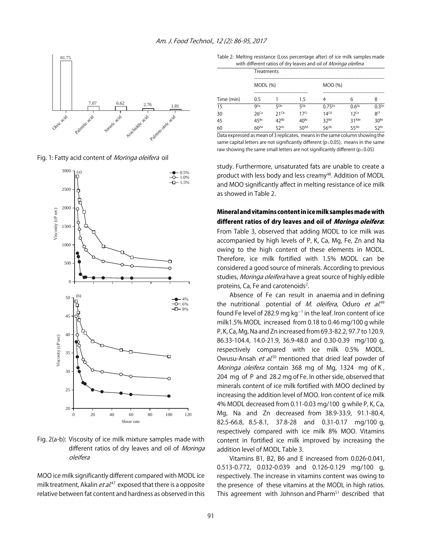

Fig. 1: Fatty acid content of *Moringa oleifera* oil



Fig. 2(a-b): Viscosity of ice milk mixture samples made with different ratios of dry leaves and oil of Moringa oleifera

MOO ice milk significantly different compared with MODL ice milk treatment, Akalin *et al*.<sup>47</sup> exposed that there is a opposite relative between fat content and hardness as observed in this

Table 2: Melting resistance (Loss percentage after) of ice milk samples made with different ratios of dry leaves and oil of *Moringa oleifera* 

|            |                    |                    |                    | www.amerentratios.org.comes.ama.org.mom.ga.org.com |                    |                 |  |  |  |
|------------|--------------------|--------------------|--------------------|----------------------------------------------------|--------------------|-----------------|--|--|--|
|            |                    | Treatments         |                    |                                                    |                    |                 |  |  |  |
|            | MODL (%)           |                    |                    | MOO (%)                                            |                    |                 |  |  |  |
| Time (min) | 0.5                |                    | 1.5                | 4                                                  | 6                  | 8               |  |  |  |
| 15         | <b>Q</b> Da        | 5 <sub>Dp</sub>    | 5 <sub>Dp</sub>    | $0.75^{Dc}$                                        | 0.6 <sup>pc</sup>  | $0.3^{Dc}$      |  |  |  |
| 30         | $26$ <sup>Ca</sup> | $21$ <sup>Cb</sup> | $17$ <sup>Cc</sup> | 14 <sup>Cd</sup>                                   | $12$ <sup>Ce</sup> | 8 <sup>Cf</sup> |  |  |  |
| 45         | $45^{Ba}$          | $42^{Bb}$          | $40^{Bc}$          | 32Bd                                               | $31^{Bde}$         | $30^{Be}$       |  |  |  |
| 60         | 60 <sup>Aa</sup>   | $52$ <sup>Ac</sup> | 50 <sup>Ad</sup>   | $56^{Ab}$                                          | 55 <sup>Ab</sup>   | 52Ac            |  |  |  |

Data expressed as mean of 3 replicates, means in the same column showing the same capital letters are not significantly different ( $p \le 0.05$ ), means in the same raw showing the same small letters are not significantly different ( $p \le 0.05$ )

study. Furthermore, unsaturated fats are unable to create a product with less body and less creamy<sup>48</sup>. Addition of MODL and MOO significantly affect in melting resistance of ice milk as showed in Table 2.

# Mineral and vitamins content in ice milk samples made with different ratios of dry leaves and oil of Moringa oleifera:

From Table 3, observed that adding MODL to ice milk was accompanied by high levels of P, K, Ca, Mg, Fe, Zn and Na owing to the high content of these elements in MODL. Therefore, ice milk fortified with 1.5% MODL can be considered a good source of minerals. According to previous studies, Moringa oleifera have a great source of highly edible proteins, Ca, Fe and carotenoids<sup>2</sup>.

Absence of Fe can result in anaemia and in defining the nutritional potential of *M. oleifera*, Oduro *et al.*<sup>49</sup> found Fe level of 282.9 mg kg $^{-1}$  in the leaf. Iron content of ice milk1.5% MODL increased from 0.18 to 0.46 mg/100 g while P, K, Ca, Mg, Na and Zn increased from 69.3-82.2, 97.7 to 120.9, 86.33-104.4, 14.0-21.9, 36.9-48.0 and 0.30-0.39 mg/100 g, respectively compared with ice milk 0.5% MODL. Owusu-Ansah et al.<sup>50</sup> mentioned that dried leaf powder of Moringa oleifera contain 368 mg of Mg, 1324 mg of K, 204 mg of P and 28.2 mg of Fe. In other side, observed that minerals content of ice milk fortified with MOO declined by increasing the addition level of MOO. Iron content of ice milk 4% MODL decreased from 0.11-0.03 mg/100 g while P, K, Ca, Mg, Na and Zn decreased from 38.9-33.9, 91.1-80.4, 82.5-66.8, 8.5-8.1, 37.8-28 and 0.31-0.17 mg/100 g, respectively compared with ice milk 8% MOO. Vitamins content in fortified ice milk improved by increasing the addition level of MODL Table 3.

Vitamins B1, B2, B6 and E increased from 0.026-0.041, 0.513-0.772, 0.032-0.039 and 0.126-0.129 mg/100 g, respectively. The increase in vitamins content was owing to the presence of these vitamins at the MODL in high ratios. This agreement with Johnson and Pharm<sup>51</sup> described that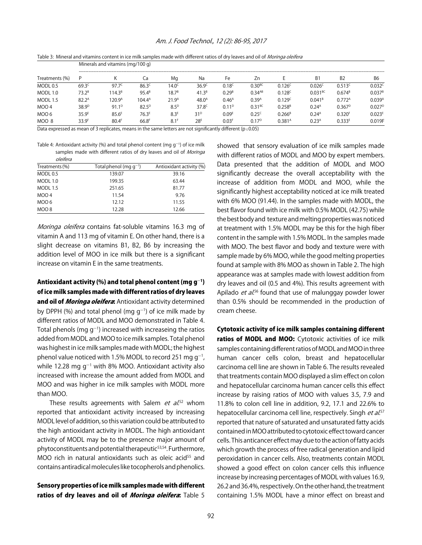#### Am. J. Food Technol., 12 (2): 86-95, 2017

Table 3: Mineral and vitamins content in ice milk samples made with different ratios of dry leaves and oil of Moringa oleifera

|                                                                                                                | Minerals and vitamins (mg/100 g) |                    |                    |                   |                   |                         |                   |                    |                    |                    |                    |
|----------------------------------------------------------------------------------------------------------------|----------------------------------|--------------------|--------------------|-------------------|-------------------|-------------------------|-------------------|--------------------|--------------------|--------------------|--------------------|
| Treatments (%)                                                                                                 |                                  |                    | La                 | Ma                | Na                | Fe                      | Zn                |                    | B <sub>1</sub>     | <b>B2</b>          | B6                 |
| MODL 0.5                                                                                                       | $69.3^{c}$                       | $97.7^{\circ}$     | $86.3^{\circ}$     | $4.0^\circ$       | 36.9 <sup>c</sup> | 0.18 <sup>c</sup>       | $0.30^{BC}$       | 0.126 <sup>c</sup> | 0.026 <sup>c</sup> | 0.513c             | 0.032c             |
| <b>MODL 1.0</b>                                                                                                | $73.2^B$                         | $114.3^{\text{B}}$ | $95.4^B$           | 18.7 <sup>B</sup> | $41.3^{B}$        | $0.29^{\text{\tiny B}}$ | $0.34^{AB}$       | 0.128c             | 0.031BC            | $0.674^{B}$        | $0.037^{B}$        |
| <b>MODL 1.5</b>                                                                                                | $82.2^{\text{A}}$                | 120.9 <sup>A</sup> | 104.4 <sup>A</sup> | 21.9 <sup>A</sup> | 48.0 <sup>A</sup> | 0.46 <sup>A</sup>       | 0.39 <sup>A</sup> | 0.129 <sup>c</sup> | $0.041^{8}$        | 0.772 <sup>A</sup> | 0.039 <sup>A</sup> |
| MOO <sub>4</sub>                                                                                               | 38.9 <sup>D</sup>                | $91.1^{D}$         | $82.5^{D}$         | 8.5 <sup>D</sup>  | 37.8 <sup>c</sup> | $0.11^{D}$              | $0.31^{BC}$       | $0.258^{B}$        | 0.24 <sup>A</sup>  | $0.367^{D}$        | $0.027^{D}$        |
| MOO 6                                                                                                          | 35.9 <sup>E</sup>                | 85.6 <sup>E</sup>  | 76.3 <sup>E</sup>  | 8.3 <sup>E</sup>  | 31 <sup>D</sup>   | 0.09 <sup>E</sup>       | $0.25^{c}$        | $0.266^{B}$        | 0.24 <sup>A</sup>  | 0.320 <sup>F</sup> | 0.023 <sup>E</sup> |
| MOO 8                                                                                                          | 33.9F                            | 80.4 <sup>F</sup>  | 66.8 <sup>F</sup>  | 8.1 <sup>F</sup>  | 28 <sup>E</sup>   | 0.03 <sup>F</sup>       | $0.17^{D}$        | 0.381 <sup>A</sup> | 0.23 <sup>A</sup>  | $0.333^{E}$        | 0.019F             |
| Dr. I CONTRA IN THE RESIDENCE OF A PROPERTY OF A PART OF A CONTRACT OF A RESIDENCE OF A PART OF A RESIDENCE OF |                                  |                    |                    |                   |                   |                         |                   |                    |                    |                    |                    |

Data expressed as mean of 3 replicates, means in the same letters are not significantly different ( $p \le 0.05$ )

Table 4: Antioxidant activity (%) and total phenol content (mg  $g^{-1}$ ) of ice milk samples made with different ratios of dry leaves and oil of Moringa oleifera

| <i>uciicia</i>   |                             |                          |
|------------------|-----------------------------|--------------------------|
| Treatments (%)   | Total phenol (mg $q^{-1}$ ) | Antioxidant activity (%) |
| MODL 0.5         | 139.07                      | 39.16                    |
| MODL 1.0         | 199.35                      | 63.44                    |
| <b>MODL 1.5</b>  | 251.65                      | 81.77                    |
| MOO <sub>4</sub> | 11.54                       | 9.76                     |
| MOO 6            | 12.12                       | 11.55                    |
| MOO 8            | 12.28                       | 12.66                    |

Moringa oleifera contains fat-soluble vitamins 16.3 mg of vitamin A and 113 mg of vitamin E. On other hand, there is a slight decrease on vitamins B1, B2, B6 by increasing the addition level of MOO in ice milk but there is a significant increase on vitamin E in the same treatments.

Antioxidant activity (%) and total phenol content (mg  $g^{-1}$ ) of ice milk samples made with different ratios of dry leaves and oil of *Moringa oleifera*: Antioxidant activity determined by DPPH (%) and total phenol (mg  $g^{-1}$ ) of ice milk made by different ratios of MODL and MOO demonstrated in Table 4. Total phenols (mg g<sup>-1</sup>) increased with increaseing the ratios added from MODL and MOO to ice milk samples. Total phenol was highest in ice milk samples made with MODL; the highest phenol value noticed with 1.5% MODL to record 251 mg g<sup>-1</sup>, while 12.28 mg  $g^{-1}$  with 8% MOO. Antioxidant activity also increased with increase the amount added from MODL and MOO and was higher in ice milk samples with MODL more than MOO.

These results agreements with Salem et al.<sup>52</sup> whom reported that antioxidant activity increased by increasing MODL level of addition, so this variation could be attributed to the high antioxidant activity in MODL. The high antioxidant activity of MODL may be to the presence major amount of phytoconstituents and potential therapeutic<sup>53,54</sup>. Furthermore, MOO rich in natural antioxidants such as oleic acid<sup>55</sup> and contains antiradical molecules like tocopherols and phenolics.

Sensory properties of ice milk samples made with different ratios of dry leaves and oil of Moringa oleifera: Table 5

showed that sensory evaluation of ice milk samples made with different ratios of MODL and MOO by expert members. Data presented that the addition of MODL and MOO significantly decrease the overall acceptability with the increase of addition from MODL and MOO, while the significantly highest acceptability noticed at ice milk treated with 6% MOO (91.44). In the samples made with MODL, the best flavor found with ice milk with 0.5% MODL (42.75) while the best body and texture and melting properties was noticed at treatment with 1.5% MODL may be this for the high fiber content in the sample with 1.5% MODL. In the samples made with MOO. The best flavor and body and texture were with sample made by 6% MOO, while the good melting properties found at sample with 8% MOO as shown in Table 2. The high appearance was at samples made with lowest addition from dry leaves and oil (0.5 and 4%). This results agreement with Apilado *et al.*<sup>56</sup> found that use of malunggay powder lower than 0.5% should be recommended in the production of cream cheese.

Cytotoxic activity of ice milk samples containing different ratios of MODL and MOO: Cytotoxic activities of ice milk samples containing different ratios of MODL and MOO in three human cancer cells colon, breast and hepatocellular carcinoma cell line are shown in Table 6. The results revealed that treatments contain MOO displayed a slim effect on colon and hepatocellular carcinoma human cancer cells this effect increase by raising ratios of MOO with values 3.5, 7.9 and 11.8% to colon cell line in addition, 9.2, 17.1 and 22.6% to hepatocellular carcinoma cell line, respectively. Singh *et al.*<sup>57</sup> reported that nature of saturated and unsaturated fatty acids contained in MOO attributed to cytotoxic effect toward cancer cells. This anticancer effect may due to the action of fatty acids which growth the process of free radical generation and lipid peroxidation in cancer cells. Also, treatments contain MODL showed a good effect on colon cancer cells this influence increase by increasing percentages of MODL with values 16.9, 26.2 and 36.4%, respectively. On the other hand, the treatment containing 1.5% MODL have a minor effect on breast and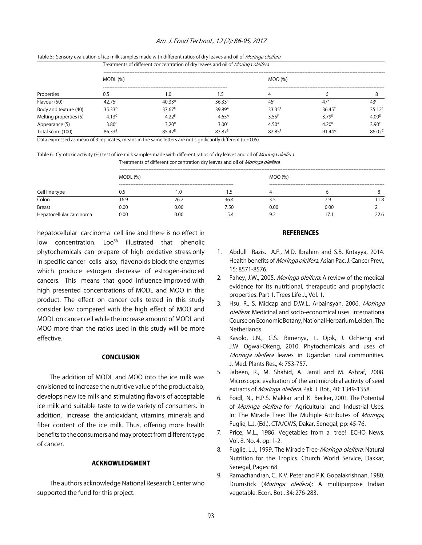#### Am. J. Food Technol., 12 (2): 86-95, 2017

| Properties             | Table 5: Sensory evaluation of ice milk samples made with different ratios or dry leaves and on or <i>Worlinga Olenera</i><br>Treatments of different concentration of dry leaves and oil of Moringa oleifera |                    |                    |                     |                    |                   |  |  |  |
|------------------------|---------------------------------------------------------------------------------------------------------------------------------------------------------------------------------------------------------------|--------------------|--------------------|---------------------|--------------------|-------------------|--|--|--|
|                        | MODL(%)                                                                                                                                                                                                       |                    |                    | MOO (%)             |                    |                   |  |  |  |
|                        | 0.5                                                                                                                                                                                                           | 1.0                | 1.5                |                     | b                  |                   |  |  |  |
| Flavour (50)           | 42.75 <sup>c</sup>                                                                                                                                                                                            | $40.33^{D}$        | $36.33^{E}$        | $45^{\circ}$        | 47 <sup>A</sup>    | 43 <sup>c</sup>   |  |  |  |
| Body and texture (40)  | 35.33 <sup>D</sup>                                                                                                                                                                                            | $37.67^8$          | 39.89 <sup>A</sup> | 33.35 <sup>F</sup>  | $36.45^{\circ}$    | $35.12^E$         |  |  |  |
| Melting properties (5) | 4.13 <sup>c</sup>                                                                                                                                                                                             | 4.22 <sup>B</sup>  | 4.65 <sup>A</sup>  | $3.55$ <sup>F</sup> | 3.79E              | 4.00 <sup>D</sup> |  |  |  |
| Appearance (5)         | 3.80 <sup>c</sup>                                                                                                                                                                                             | 3.20 <sup>D</sup>  | 3.00 <sup>E</sup>  | 4.50 <sup>A</sup>   | 4.20 <sup>B</sup>  | 3.90 <sup>c</sup> |  |  |  |
| Total score (100)      | 86.33 <sup>B</sup>                                                                                                                                                                                            | 85.42 <sup>D</sup> | 83.87 <sup>E</sup> | 82.85 <sup>F</sup>  | $91.44^{\text{A}}$ | $86.02^{\circ}$   |  |  |  |

# table 5: Sensory evaluation of ice milk camples made with different ratios of dry leaves and oil of *Moringa oleifera*

Data expressed as mean of 3 replicates, means in the same letters are not significantly different ( $p \le 0.05$ )

Table 6: Cytotoxic activity (%) test of ice milk samples made with different ratios of dry leaves and oil of Moringa oleifera

| Treatments of different concentration dry leaves and oil of <i>Moringa oleifera</i> |  |
|-------------------------------------------------------------------------------------|--|
|                                                                                     |  |

|                          | MODL(%) |      |      | MOO (%) |      |       |  |
|--------------------------|---------|------|------|---------|------|-------|--|
|                          |         |      |      |         |      |       |  |
| Cell line type           | J.5     | l.U  | כ. ו |         |      |       |  |
| Colon                    | 16.9    | 26.2 | 36.4 |         | 7.9  | l 1.8 |  |
| Breast                   | 0.00    | 0.00 | 7.50 | 0.00    | 0.00 |       |  |
| Hepatocellular carcinoma | 0.00    | 0.00 | 15.4 | 9.2     | 17.  | 22.6  |  |

hepatocellular carcinoma cell line and there is no effect in low concentration. Loo<sup>58</sup> illustrated that phenolic phytochemicals can prepare of high oxidative stress only in specific cancer cells also; flavonoids block the enzymes which produce estrogen decrease of estrogen-induced cancers. This means that good influence improved with high presented concentrations of MODL and MOO in this product. The effect on cancer cells tested in this study consider low compared with the high effect of MOO and MODL on cancer cell while the increase amount of MODL and MOO more than the ratios used in this study will be more effective.

#### **CONCLUSION**

The addition of MODL and MOO into the ice milk was envisioned to increase the nutritive value of the product also, develops new ice milk and stimulating flavors of acceptable ice milk and suitable taste to wide variety of consumers. In addition, increase the antioxidant, vitamins, minerals and fiber content of the ice milk. Thus, offering more health benefits to the consumers and may protect from different type of cancer.

# ACKNOWLEDGMENT

The authors acknowledge National Research Center who supported the fund for this project.

#### **REFERENCES**

- 1. Abdull Razis, A.F., M.D. Ibrahim and S.B. Kntayya, 2014. Health benefits of *Moringa oleifera*. Asian Pac. J. Cancer Prev., 15: 8571-8576.
- 2. Fahey, J.W., 2005. Moringa oleifera: A review of the medical evidence for its nutritional, therapeutic and prophylactic properties. Part 1. Trees Life J., Vol. 1.
- 3. Hsu, R., S. Midcap and D.W.L. Arbainsyah, 2006. Moringa oleifera: Medicinal and socio-economical uses. Internationa Course on Economic Botany, National Herbarium Leiden, The Netherlands.
- 4. Kasolo, J.N., G.S. Bimenya, L. Ojok, J. Ochieng and J.W. Ogwal-Okeng, 2010. Phytochemicals and uses of Moringa oleifera leaves in Ugandan rural communities. J. Med. Plants Res., 4: 753-757.
- 5. Jabeen, R., M. Shahid, A. Jamil and M. Ashraf, 2008. Microscopic evaluation of the antimicrobial activity of seed extracts of Moringa oleifera. Pak. J. Bot., 40: 1349-1358.
- 6. Foidl, N., H.P.S. Makkar and K. Becker, 2001. The Potential of *Moringa oleifera* for Agricultural and Industrial Uses. In: The Miracle Tree: The Multiple Attributes of Moringa, Fuglie, L.J. (Ed.). CTA/CWS, Dakar, Senegal, pp: 45-76.
- 7. Price, M.L., 1986. Vegetables from a tree! ECHO News, Vol. 8, No. 4, pp: 1-2.
- 8. Fuglie, L.J., 1999. The Miracle Tree-Moringa oleifera. Natural Nutrition for the Tropics. Church World Service, Dakkar, Senegal, Pages: 68.
- 9. Ramachandran, C., K.V. Peter and P.K. Gopalakrishnan, 1980. Drumstick (Moringa oleifera): A multipurpose Indian vegetable. Econ. Bot., 34: 276-283.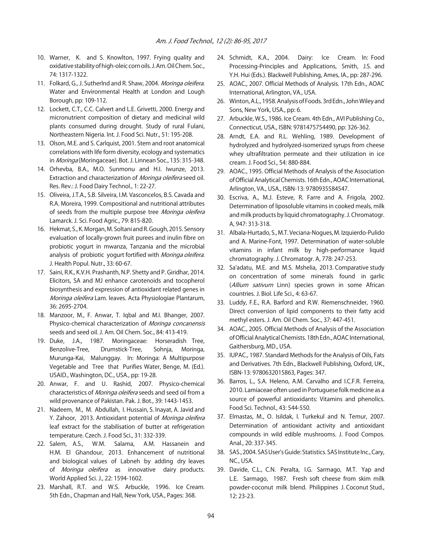- 10. Warner, K. and S. Knowlton, 1997. Frying quality and oxidative stability of high-oleic corn oils. J. Am. Oil Chem. Soc., 74: 1317-1322.
- 11. Folkard, G., J. Sutherlnd and R. Shaw, 2004. Moringa oleifera. Water and Environmental Health at London and Lough Borough, pp: 109-112.
- 12. Lockett, C.T., C.C. Calvert and L.E. Grivetti, 2000. Energy and micronutrient composition of dietary and medicinal wild plants consumed during drought. Study of rural Fulani, Northeastern Nigeria. Int. J. Food Sci. Nutr., 51: 195-208.
- 13. Olson, M.E. and S. Carlquist, 2001. Stem and root anatomical correlations with life form diversity, ecology and systematics in Moringa (Moringaceae). Bot. J. Linnean Soc., 135: 315-348.
- 14. Orhevba, B.A., M.O. Sunmonu and H.I. Iwunze, 2013. Extraction and characterization of Moringa oleifera seed oil. Res. Rev.: J. Food Dairy Technol., 1: 22-27.
- 15. Oliveira, J.T.A., S.B. Silveira, I.M. Vasconcelos, B.S. Cavada and R.A. Moreira, 1999. Compositional and nutritional attributes of seeds from the multiple purpose tree Moringa oleifera Lamarck. J. Sci. Food Agric., 79: 815-820.
- 16. Hekmat, S., K. Morgan, M. Soltani and R. Gough, 2015. Sensory evaluation of locally-grown fruit purees and inulin fibre on probiotic yogurt in mwanza, Tanzania and the microbial analysis of probiotic yogurt fortified with Moringa oleifera. J. Health Popul. Nutr., 33: 60-67.
- 17. Saini, R.K., K.V.H. Prashanth, N.P. Shetty and P. Giridhar, 2014. Elicitors, SA and MJ enhance carotenoids and tocopherol biosynthesis and expression of antioxidant related genes in Moringa oleifera Lam. leaves. Acta Physiologiae Plantarum, 36: 2695-2704.
- 18. Manzoor, M., F. Anwar, T. Iqbal and M.I. Bhanger, 2007. Physico-chemical characterization of Moringa concanensis seeds and seed oil. J. Am. Oil Chem. Soc., 84: 413-419.
- 19. Duke, J.A., 1987. Moringaceae: Horseradish Tree, Benzolive-Tree, Drumstick-Tree, Sohnja, Moringa, Murunga-Kai, Malunggay. In: Moringa: A Multipurpose Vegetable and Tree that Purifies Water, Benge, M. (Ed.). USAID., Washington, DC., USA., pp: 19-28.
- 20. Anwar, F. and U. Rashid, 2007. Physico-chemical characteristics of *Moringa oleifera* seeds and seed oil from a wild provenance of Pakistan. Pak. J. Bot., 39: 1443-1453.
- 21. Nadeem, M., M. Abdullah, I. Hussain, S. Inayat, A. Javid and Y. Zahoor, 2013. Antioxidant potential of Moringa oleifera leaf extract for the stabilisation of butter at refrigeration temperature. Czech. J. Food Sci., 31: 332-339.
- 22. Salem, A.S., W.M. Salama, A.M. Hassanein and H.M. El Ghandour, 2013. Enhancement of nutritional and biological values of Labneh by adding dry leaves of Moringa oleifera as innovative dairy products. World Applied Sci. J., 22: 1594-1602.
- 23. Marshall, R.T. and W.S. Arbuckle, 1996. Ice Cream. 5th Edn., Chapman and Hall, New York, USA., Pages: 368.
- 24. Schmidt, K.A., 2004. Dairy: Ice Cream. In: Food Processing-Principles and Applications, Smith, J.S. and Y.H. Hui (Eds.). Blackwell Publishing, Ames, IA., pp: 287-296.
- 25. AOAC., 2007. Official Methods of Analysis. 17th Edn., AOAC International, Arlington, VA., USA.
- 26. Winton, A.L., 1958. Analysis of Foods. 3rd Edn., John Wiley and Sons, New York, USA., pp: 6.
- 27. Arbuckle, W.S., 1986. Ice Cream. 4th Edn., AVI Publishing Co., Connecticut, USA., ISBN: 9781475754490, pp: 326-362.
- 28. Arndt, E.A. and R.L. Wehling, 1989. Development of hydrolyzed and hydrolyzed-isomerized syrups from cheese whey ultrafiltration permeate and their utilization in ice cream. J. Food Sci., 54: 880-884.
- 29. AOAC., 1995. Official Methods of Analysis of the Association of Official Analytical Chemists. 16th Edn., AOAC International, Arlington, VA., USA., ISBN-13: 9780935584547.
- 30. Escriva, A., M.J. Esteve, R. Farre and A. Frigola, 2002. Determination of liposoluble vitamins in cooked meals, milk and milk products by liquid chromatography. J. Chromatogr. A, 947: 313-318.
- 31. Albala-Hurtado, S., M.T. Veciana-Nogues, M. Izquierdo-Pulido and A. Marine-Font, 1997. Determination of water-soluble vitamins in infant milk by high-performance liquid chromatography. J. Chromatogr. A, 778: 247-253.
- 32. Sa'adatu, M.E. and M.S. Mshelia, 2013. Comparative study on concentration of some minerals found in garlic (Allium sativum Linn) species grown in some African countries. J. Biol. Life Sci., 4: 63-67.
- 33. Luddy, F.E., R.A. Barford and R.W. Riemenschneider, 1960. Direct conversion of lipid components to their fatty acid methyl esters. J. Am. Oil Chem. Soc., 37: 447-451.
- 34. AOAC., 2005. Official Methods of Analysis of the Association of Official Analytical Chemists. 18th Edn., AOAC International, Gaithersburg, MD., USA.
- 35. IUPAC., 1987. Standard Methods for the Analysis of Oils, Fats and Derivatives. 7th Edn., Blackwell Publishing, Oxford, UK., ISBN-13: 9780632015863, Pages: 347.
- 36. Barros, L., S.A. Heleno, A.M. Carvalho and I.C.F.R. Ferreira, 2010. Lamiaceae often used in Portuguese folk medicine as a source of powerful antioxidants: Vitamins and phenolics. Food Sci. Technol., 43: 544-550.
- 37. Elmastas, M., O. Isildak, I. Turkekul and N. Temur, 2007. Determination of antioxidant activity and antioxidant compounds in wild edible mushrooms. J. Food Compos. Anal., 20: 337-345.
- 38. SAS., 2004. SAS User's Guide: Statistics. SAS Institute Inc., Cary, NC., USA.
- 39. Davide, C.L., C.N. Peralta, I.G. Sarmago, M.T. Yap and L.E. Sarmago, 1987. Fresh soft cheese from skim milk powder-coconut milk blend. Philippines J. Coconut Stud., 12: 23-23.